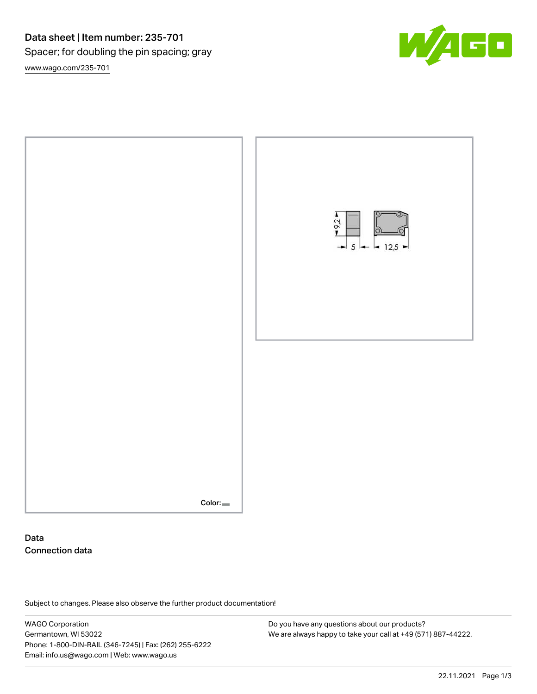## Data sheet | Item number: 235-701 Spacer; for doubling the pin spacing; gray [www.wago.com/235-701](http://www.wago.com/235-701)





### Data Connection data

Subject to changes. Please also observe the further product documentation!

WAGO Corporation Germantown, WI 53022 Phone: 1-800-DIN-RAIL (346-7245) | Fax: (262) 255-6222 Email: info.us@wago.com | Web: www.wago.us

Do you have any questions about our products? We are always happy to take your call at +49 (571) 887-44222.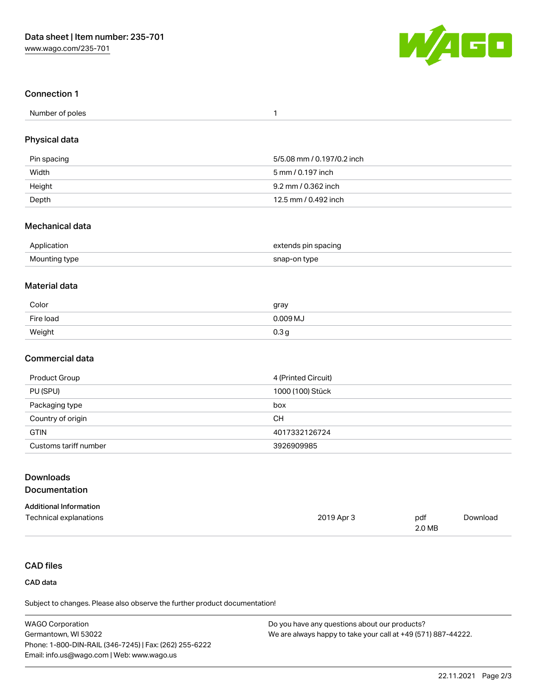

#### Connection 1

| Number of poles |  |
|-----------------|--|
|-----------------|--|

#### Physical data

| Pin spacing | 5/5.08 mm / 0.197/0.2 inch |
|-------------|----------------------------|
| Width       | 5 mm / 0.197 inch          |
| Height      | 9.2 mm / 0.362 inch        |
| Depth       | 12.5 mm / 0.492 inch       |

#### Mechanical data

| Application   | pin spacing :<br>.renns<br>. . |
|---------------|--------------------------------|
| Mounting type | tvpe                           |

#### Material data

| Color     | gray                |
|-----------|---------------------|
| Fire load | 0.009 <sub>MJ</sub> |
| Weight    | 0.3 <sub>g</sub>    |

#### Commercial data

| Product Group         | 4 (Printed Circuit) |
|-----------------------|---------------------|
| PU (SPU)              | 1000 (100) Stück    |
| Packaging type        | box                 |
| Country of origin     | <b>CH</b>           |
| <b>GTIN</b>           | 4017332126724       |
| Customs tariff number | 3926909985          |

2019 Apr 3 pdf

2.0 MB

# Downloads

#### Documentation

| <b>Additional Information</b> |  |  |
|-------------------------------|--|--|
| Technical explanations        |  |  |

#### CAD files

#### CAD data

Subject to changes. Please also observe the further product documentation!

| <b>WAGO Corporation</b>                                | Do you have any questions about our products?                 |
|--------------------------------------------------------|---------------------------------------------------------------|
| Germantown, WI 53022                                   | We are always happy to take your call at +49 (571) 887-44222. |
| Phone: 1-800-DIN-RAIL (346-7245)   Fax: (262) 255-6222 |                                                               |
| Email: info.us@wago.com   Web: www.wago.us             |                                                               |

[Download](https://www.wago.com/global/d/1435602)